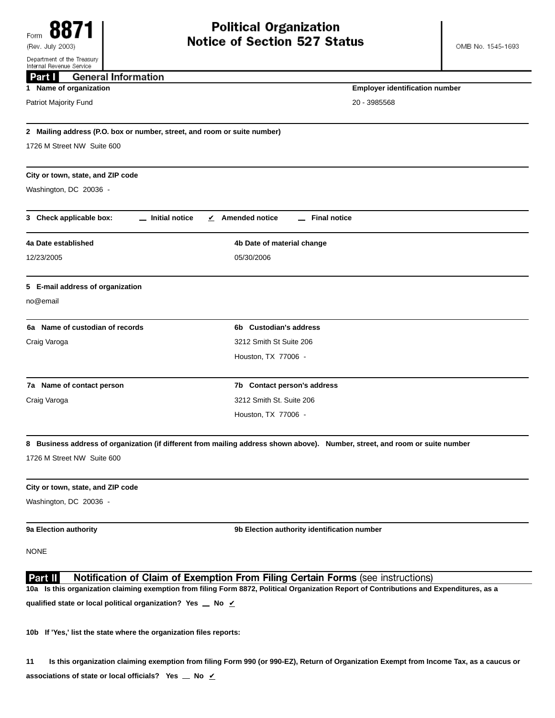| Internal Revenue Service                                                 |                                                                                                                                          |  |
|--------------------------------------------------------------------------|------------------------------------------------------------------------------------------------------------------------------------------|--|
| <b>General Information</b><br>Part I                                     |                                                                                                                                          |  |
| 1 Name of organization                                                   | <b>Employer identification number</b>                                                                                                    |  |
| Patriot Majority Fund                                                    | 20 - 3985568                                                                                                                             |  |
| 2 Mailing address (P.O. box or number, street, and room or suite number) |                                                                                                                                          |  |
| 1726 M Street NW Suite 600                                               |                                                                                                                                          |  |
| City or town, state, and ZIP code                                        |                                                                                                                                          |  |
| Washington, DC 20036 -                                                   |                                                                                                                                          |  |
| 3 Check applicable box:<br>_ Initial notice                              | $\angle$ Amended notice<br><b>Final notice</b>                                                                                           |  |
| 4a Date established                                                      | 4b Date of material change                                                                                                               |  |
| 12/23/2005                                                               | 05/30/2006                                                                                                                               |  |
| 5 E-mail address of organization                                         |                                                                                                                                          |  |
| no@email                                                                 |                                                                                                                                          |  |
| 6a Name of custodian of records                                          | 6b Custodian's address                                                                                                                   |  |
| Craig Varoga                                                             | 3212 Smith St Suite 206                                                                                                                  |  |
|                                                                          | Houston, TX 77006 -                                                                                                                      |  |
| 7a Name of contact person                                                | 7b Contact person's address                                                                                                              |  |
| Craig Varoga                                                             | 3212 Smith St. Suite 206                                                                                                                 |  |
|                                                                          | Houston, TX 77006 -                                                                                                                      |  |
|                                                                          | 8 Business address of organization (if different from mailing address shown above). Number, street, and room or suite number             |  |
| 1726 M Street NW Suite 600                                               |                                                                                                                                          |  |
| City or town, state, and ZIP code                                        |                                                                                                                                          |  |
| Washington, DC 20036 -                                                   |                                                                                                                                          |  |
| 9a Election authority                                                    | 9b Election authority identification number                                                                                              |  |
| <b>NONE</b>                                                              |                                                                                                                                          |  |
| Part II                                                                  | Notification of Claim of Exemption From Filing Certain Forms (see instructions)                                                          |  |
|                                                                          | 10a Is this organization claiming exemption from filing Form 8872, Political Organization Report of Contributions and Expenditures, as a |  |
| qualified state or local political organization? Yes _ No $\angle$       |                                                                                                                                          |  |

**10b If 'Yes,' list the state where the organization files reports:**

**11 Is this organization claiming exemption from filing Form 990 (or 990-EZ), Return of Organization Exempt from Income Tax, as a caucus or associations of state or local officials?** Yes  $\angle$  No  $\angle$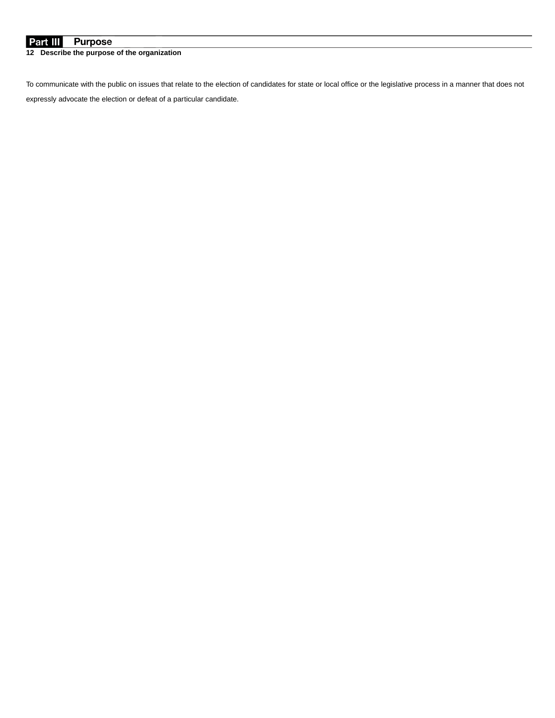## **Purpose** Part III

**12 Describe the purpose of the organization**

To communicate with the public on issues that relate to the election of candidates for state or local office or the legislative process in a manner that does not expressly advocate the election or defeat of a particular candidate.